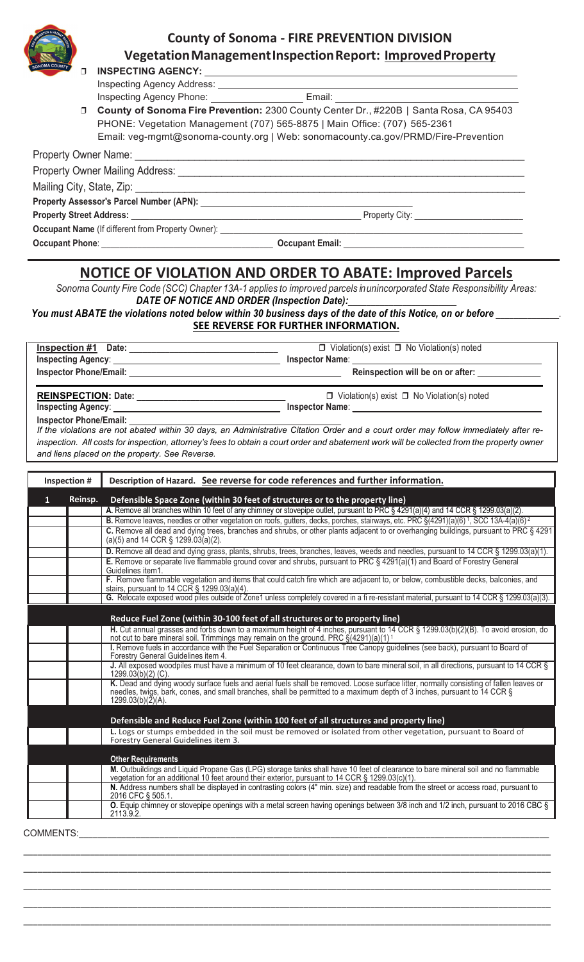

## **County of Sonoma - FIRE PREVENTION DIVISION VegetationManagementInspectionReport: ImprovedProperty**

| SONOMA COUNTY   |   |                                                                                                                              |                                                                                          |
|-----------------|---|------------------------------------------------------------------------------------------------------------------------------|------------------------------------------------------------------------------------------|
|                 | ⊓ |                                                                                                                              |                                                                                          |
|                 |   |                                                                                                                              |                                                                                          |
|                 |   |                                                                                                                              | Inspecting Agency Phone: ___________________________Email: ______________________        |
|                 |   |                                                                                                                              | □ County of Sonoma Fire Prevention: 2300 County Center Dr., #220B   Santa Rosa, CA 95403 |
|                 |   | PHONE: Vegetation Management (707) 565-8875   Main Office: (707) 565-2361                                                    |                                                                                          |
|                 |   |                                                                                                                              | Email: veg-mgmt@sonoma-county.org   Web: sonomacounty.ca.gov/PRMD/Fire-Prevention        |
|                 |   |                                                                                                                              |                                                                                          |
|                 |   |                                                                                                                              |                                                                                          |
|                 |   |                                                                                                                              |                                                                                          |
|                 |   |                                                                                                                              |                                                                                          |
|                 |   |                                                                                                                              |                                                                                          |
|                 |   | <b>Occupant Name</b> (If different from Property Owner): <b>All and Containers and Containers and Containers</b> and Contain |                                                                                          |
| Occupant Phone: |   |                                                                                                                              | <b>Occupant Email:</b>                                                                   |

## **NOTICE OF VIOLATION AND ORDER TO ABATE: Improved Parcels**

*Sonoma County Fire Code (SCC) Chapter 13A-1 applies to improved parcels in unincorporated State Responsibility Areas:* DATE OF NOTICE AND ORDER (Inspection Date):

*You must ABATE the violations noted below within 30 business days of the date of this Notice, on or before* \_\_\_\_\_\_\_\_\_\_\_\_\_\_. **SEE REVERSE FOR FURTHER INFORMATION.**

|                               | $\Box$ Violation(s) exist $\Box$ No Violation(s) noted<br>Inspection #1 Date:<br>Inspecting Agency:<br>Reinspection will be on or after:<br>Inspector Phone/Email: New York Changes and Security Assembly and Security Assembly and Security Assembly                                                                                                                                                                                                                                                                        |
|-------------------------------|------------------------------------------------------------------------------------------------------------------------------------------------------------------------------------------------------------------------------------------------------------------------------------------------------------------------------------------------------------------------------------------------------------------------------------------------------------------------------------------------------------------------------|
|                               | $\Box$ Violation(s) exist $\Box$ No Violation(s) noted<br>Inspector Name:                                                                                                                                                                                                                                                                                                                                                                                                                                                    |
| <b>Inspector Phone/Email:</b> | If the violations are not abated within 30 days, an Administrative Citation Order and a court order may follow immediately after re-<br>inspection. All costs for inspection, attorney's fees to obtain a court order and abatement work will be collected from the property owner<br>and liens placed on the property. See Reverse.                                                                                                                                                                                         |
| Inspection #                  | Description of Hazard. See reverse for code references and further information.                                                                                                                                                                                                                                                                                                                                                                                                                                              |
| Reinsp.<br>$\mathbf{1}$       | Defensible Space Zone (within 30 feet of structures or to the property line)<br>A. Remove all branches within 10 feet of any chimney or stovepipe outlet, pursuant to PRC § 4291(a)(4) and 14 CCR § 1299.03(a)(2).<br><b>B.</b> Remove leaves, needles or other vegetation on roofs, gutters, decks, porches, stairways, etc. PRC $\S(4291)(a)(6)^7$ , SCC 13A-4(a)(6) <sup>2</sup><br>C. Remove all dead and dying trees, branches and shrubs, or other plants adjacent to or overhanging buildings, pursuant to PRC § 4291 |
|                               | (a)(5) and 14 CCR $\S$ 1299.03(a)(2).<br>D. Remove all dead and dying grass, plants, shrubs, trees, branches, leaves, weeds and needles, pursuant to 14 CCR § 1299.03(a)(1).                                                                                                                                                                                                                                                                                                                                                 |
|                               | E. Remove or separate live flammable ground cover and shrubs, pursuant to PRC § 4291(a)(1) and Board of Forestry General<br>Guidelines item1.                                                                                                                                                                                                                                                                                                                                                                                |
|                               | F. Remove flammable vegetation and items that could catch fire which are adjacent to, or below, combustible decks, balconies, and<br>stairs, pursuant to 14 CCR $\S$ 1299.03(a)(4).                                                                                                                                                                                                                                                                                                                                          |
|                               | G. Relocate exposed wood piles outside of Zone1 unless completely covered in a fi re-resistant material, pursuant to 14 CCR § 1299.03(a)(3).                                                                                                                                                                                                                                                                                                                                                                                 |
|                               | Reduce Fuel Zone (within 30-100 feet of all structures or to property line)                                                                                                                                                                                                                                                                                                                                                                                                                                                  |
|                               | H. Cut annual grasses and forbs down to a maximum height of 4 inches, pursuant to 14 CCR § 1299.03(b)(2)(B). To avoid erosion, do<br>not cut to bare mineral soil. Trimmings may remain on the ground. PRC §(4291)(a)(1) <sup>1</sup>                                                                                                                                                                                                                                                                                        |
|                               | I. Remove fuels in accordance with the Fuel Separation or Continuous Tree Canopy guidelines (see back), pursuant to Board of<br>Forestry General Guidelines item 4.                                                                                                                                                                                                                                                                                                                                                          |
|                               | J. All exposed woodpiles must have a minimum of 10 feet clearance, down to bare mineral soil, in all directions, pursuant to 14 CCR §<br>1299.03(b)(2) (C).                                                                                                                                                                                                                                                                                                                                                                  |
|                               | K. Dead and dying woody surface fuels and aerial fuels shall be removed. Loose surface litter, normally consisting of fallen leaves or<br>needles, twigs, bark, cones, and small branches, shall be permitted to a maximum depth of 3 inches, pursuant to 14 CCR §<br>$1299.03(b)(2)(A)$ .                                                                                                                                                                                                                                   |
|                               | Defensible and Reduce Fuel Zone (within 100 feet of all structures and property line)                                                                                                                                                                                                                                                                                                                                                                                                                                        |
|                               | L. Logs or stumps embedded in the soil must be removed or isolated from other vegetation, pursuant to Board of<br>Forestry General Guidelines item 3.                                                                                                                                                                                                                                                                                                                                                                        |

| Forestry General Guidelines item 3.                                                                                                                                                                                                 |  |
|-------------------------------------------------------------------------------------------------------------------------------------------------------------------------------------------------------------------------------------|--|
|                                                                                                                                                                                                                                     |  |
| <b>Other Requirements</b>                                                                                                                                                                                                           |  |
| M. Outbuildings and Liquid Propane Gas (LPG) storage tanks shall have 10 feet of clearance to bare mineral soil and no flammable<br>vegetation for an additional 10 feet around their exterior, pursuant to 14 CCR § 1299.03(c)(1). |  |
| N. Address numbers shall be displayed in contrasting colors (4" min. size) and readable from the street or access road, pursuant to<br>2016 CFC § 505.1.                                                                            |  |
| <b>O.</b> Equip chimney or stovepipe openings with a metal screen having openings between 3/8 inch and 1/2 inch, pursuant to 2016 CBC §<br>2113.9.2                                                                                 |  |

\_\_\_\_\_\_\_\_\_\_\_\_\_\_\_\_\_\_\_\_\_\_\_\_\_\_\_\_\_\_\_\_\_\_\_\_\_\_\_\_\_\_\_\_\_\_\_\_\_\_\_\_\_\_\_\_\_\_\_\_\_\_\_\_\_\_\_\_\_\_\_\_\_\_\_\_\_\_\_\_\_\_\_\_\_\_\_\_\_\_\_\_\_\_\_\_\_\_\_\_\_\_\_\_\_\_\_\_\_\_\_ \_\_\_\_\_\_\_\_\_\_\_\_\_\_\_\_\_\_\_\_\_\_\_\_\_\_\_\_\_\_\_\_\_\_\_\_\_\_\_\_\_\_\_\_\_\_\_\_\_\_\_\_\_\_\_\_\_\_\_\_\_\_\_\_\_\_\_\_\_\_\_\_\_\_\_\_\_\_\_\_\_\_\_\_\_\_\_\_\_\_\_\_\_\_\_\_\_\_\_\_\_\_\_\_\_\_\_\_\_\_\_ \_\_\_\_\_\_\_\_\_\_\_\_\_\_\_\_\_\_\_\_\_\_\_\_\_\_\_\_\_\_\_\_\_\_\_\_\_\_\_\_\_\_\_\_\_\_\_\_\_\_\_\_\_\_\_\_\_\_\_\_\_\_\_\_\_\_\_\_\_\_\_\_\_\_\_\_\_\_\_\_\_\_\_\_\_\_\_\_\_\_\_\_\_\_\_\_\_\_\_\_\_\_\_\_\_\_\_\_\_\_\_ \_\_\_\_\_\_\_\_\_\_\_\_\_\_\_\_\_\_\_\_\_\_\_\_\_\_\_\_\_\_\_\_\_\_\_\_\_\_\_\_\_\_\_\_\_\_\_\_\_\_\_\_\_\_\_\_\_\_\_\_\_\_\_\_\_\_\_\_\_\_\_\_\_\_\_\_\_\_\_\_\_\_\_\_\_\_\_\_\_\_\_\_\_\_\_\_\_\_\_\_\_\_\_\_\_\_\_\_\_\_\_ \_\_\_\_\_\_\_\_\_\_\_\_\_\_\_\_\_\_\_\_\_\_\_\_\_\_\_\_\_\_\_\_\_\_\_\_\_\_\_\_\_\_\_\_\_\_\_\_\_\_\_\_\_\_\_\_\_\_\_\_\_\_\_\_\_\_\_\_\_\_\_\_\_\_\_\_\_\_\_\_\_\_\_\_\_\_\_\_\_\_\_\_\_\_\_\_\_\_\_\_\_\_\_\_\_\_\_\_\_\_\_

COMMENTS: